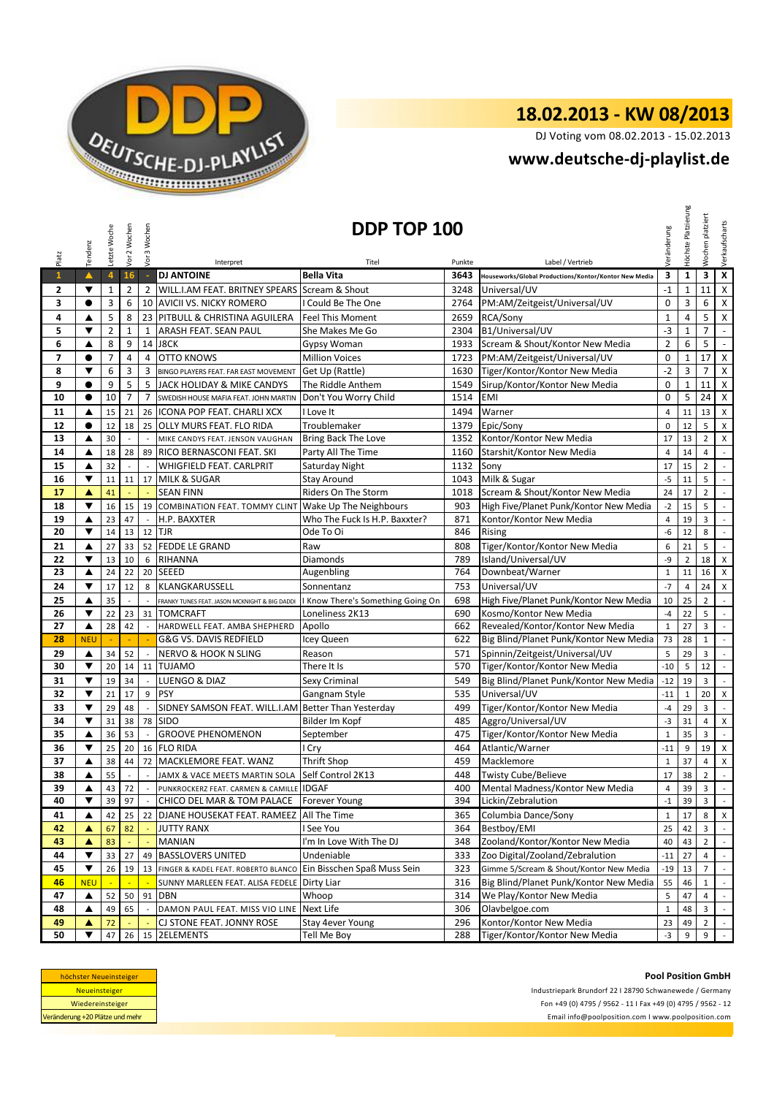

DJ Voting vom 08.02.2013 - 15.02.2013

## **<www.deutsche-dj-playlist.de>**

|                | Tendenz                   | Letzte Woche   | Vor 2 Wochen   | Vor 3 Wochen             | DDP TOP 100<br>Veränderung                                                             |                                   |            |                                                       |                       | Platzierung<br>Höchste | platziert<br>Wochen | Verkaufscharts              |
|----------------|---------------------------|----------------|----------------|--------------------------|----------------------------------------------------------------------------------------|-----------------------------------|------------|-------------------------------------------------------|-----------------------|------------------------|---------------------|-----------------------------|
| Platz          |                           |                |                |                          | Interpret                                                                              | Titel                             | Punkte     | Label / Vertrieb                                      |                       |                        |                     |                             |
| $\mathbf{1}$   | $\blacktriangle$          | $\overline{4}$ | 16             | $\mathbb{Z}$             | <b>DJ ANTOINE</b>                                                                      | <b>Bella Vita</b>                 | 3643       | Houseworks/Global Productions/Kontor/Kontor New Media | 3                     | $\mathbf{1}$           | 3                   | $\pmb{\chi}$                |
| 2              | ▼                         | $\mathbf 1$    | $\overline{2}$ | $\overline{2}$           | WILL.I.AM FEAT. BRITNEY SPEARS Scream & Shout                                          |                                   | 3248       | Universal/UV                                          | $-1$                  | 1                      | 11                  | $\pmb{\chi}$                |
| 3              | $\bullet$                 | 3              | 6              |                          | 10 AVICII VS. NICKY ROMERO                                                             | I Could Be The One                | 2764       | PM:AM/Zeitgeist/Universal/UV                          | $\pmb{0}$             | 3                      | 6                   | $\pmb{\times}$              |
| 4              | ▲                         | 5              | 8              |                          | 23 PITBULL & CHRISTINA AGUILERA                                                        | <b>Feel This Moment</b>           | 2659       | RCA/Sony                                              | $\mathbf{1}$          | 4                      | 5                   | $\pmb{\mathsf{X}}$          |
| 5              | ▼                         | $\overline{2}$ | $\mathbf{1}$   | $\mathbf{1}$             | ARASH FEAT. SEAN PAUL                                                                  | She Makes Me Go                   | 2304       | B1/Universal/UV                                       | $-3$                  | $\mathbf 1$            | $\overline{7}$      | $\omega$                    |
| 6              | ▲                         | 8              | 9              |                          | 14 J8CK                                                                                | Gypsy Woman                       | 1933       | Scream & Shout/Kontor New Media                       | $\overline{2}$        | 6                      | 5                   | $\blacksquare$              |
| $\overline{7}$ | $\bullet$                 | $\overline{7}$ | $\overline{4}$ | 4                        | <b>OTTO KNOWS</b>                                                                      | <b>Million Voices</b>             | 1723       | PM:AM/Zeitgeist/Universal/UV                          | $\pmb{0}$             | $\mathbf{1}$           | 17                  | $\pmb{\times}$              |
| 8              | ▼                         | 6              | 3              | 3                        | <b>BINGO PLAYERS FEAT. FAR EAST MOVEMENT</b>                                           | Get Up (Rattle)                   | 1630       | Tiger/Kontor/Kontor New Media                         | $-2$                  | 3                      | $\overline{7}$      | $\pmb{\times}$              |
| 9              | $\bullet$                 | 9              | 5              | 5                        | JACK HOLIDAY & MIKE CANDYS                                                             | The Riddle Anthem                 | 1549       | Sirup/Kontor/Kontor New Media                         | $\mathbf 0$           | $\mathbf 1$            | 11                  | $\pmb{\times}$              |
| 10             | $\bullet$                 | 10             | $\overline{7}$ | 7                        | SWEDISH HOUSE MAFIA FEAT. JOHN MARTIN                                                  | Don't You Worry Child             | 1514       | <b>EMI</b>                                            | $\mathbf 0$           | 5                      | 24                  | $\pmb{\times}$              |
| 11             | ▲                         | 15             | 21             | 26                       | ICONA POP FEAT. CHARLI XCX                                                             | I Love It                         | 1494       | Warner                                                | 4                     | 11                     | 13                  | $\mathsf{X}$                |
| 12             | $\bullet$                 | 12             | 18             | 25                       | <b>OLLY MURS FEAT. FLO RIDA</b>                                                        | Troublemaker                      | 1379       | Epic/Sony                                             | $\mathbf 0$           | 12                     | 5                   | $\pmb{\times}$              |
| 13             | ▲                         | 30             |                |                          | MIKE CANDYS FEAT. JENSON VAUGHAN                                                       | Bring Back The Love               | 1352       | Kontor/Kontor New Media                               | 17                    | 13                     | $\overline{2}$      | X                           |
| 14             | ▲                         | 18             | 28             | 89                       | RICO BERNASCONI FEAT. SKI                                                              | Party All The Time                | 1160       | Starshit/Kontor New Media                             | $\overline{4}$        | 14                     | 4                   | $\sim$                      |
| 15             | ▲                         | 32             |                |                          | <b>WHIGFIELD FEAT. CARLPRIT</b>                                                        | Saturday Night                    | 1132       | Sony                                                  | 17                    | 15                     | $\overline{2}$      | $\mathbb{L}$                |
| 16             | ▼                         | 11             | 11             | 17                       | <b>MILK &amp; SUGAR</b>                                                                | <b>Stay Around</b>                | 1043       | Milk & Sugar                                          | $-5$                  | 11                     | 5                   | $\mathbb{Z}^2$              |
| 17             | ▲                         | 41             |                |                          | <b>SEAN FINN</b>                                                                       | Riders On The Storm               | 1018       | Scream & Shout/Kontor New Media                       | 24                    | 17                     | $\overline{2}$      | $\mathbb{Z}^2$              |
| 18             | $\blacktriangledown$      | 16             | 15             | 19                       | COMBINATION FEAT. TOMMY CLINT                                                          | Wake Up The Neighbours            | 903        | High Five/Planet Punk/Kontor New Media                | $-2$                  | 15                     | 5                   | $\sim$                      |
| 19             | ▲                         | 23             | 47             |                          | H.P. BAXXTER                                                                           | Who The Fuck Is H.P. Baxxter?     | 871        | Kontor/Kontor New Media                               | $\overline{4}$        | 19                     | 3                   | $\mathbb{Z}^2$              |
| 20             | ▼                         | 14             | 13             | 12                       | <b>TJR</b>                                                                             | Ode To Oi                         | 846        | Rising                                                | -6                    | 12                     | 8                   | $\mathbb{L}$                |
| 21             | ▲                         | 27             | 33             |                          | 52 FEDDE LE GRAND                                                                      | Raw                               | 808        | Tiger/Kontor/Kontor New Media                         | 6                     | 21                     | 5                   | $\sim$                      |
| 22             | $\blacktriangledown$      | 13             | 10             | 6                        | <b>RIHANNA</b>                                                                         | <b>Diamonds</b>                   | 789        | Island/Universal/UV                                   | -9                    | $\mathbf 2$            | 18                  | X                           |
| 23             | ▲                         | 24             | 22             | 20                       | <b>SEEED</b>                                                                           | Augenbling                        | 764        | Downbeat/Warner                                       | $\mathbf{1}$          | 11                     | 16                  | X                           |
| 24             | ▼                         | 17             | 12             | 8                        | KLANGKARUSSELL                                                                         | Sonnentanz                        | 753        | Universal/UV                                          | $-7$                  | 4                      | 24                  | X                           |
| 25             | ▲                         | 35             | $\sim$         |                          | FRANKY TUNES FEAT. JASON MCKNIGHT & BIG DADDI                                          | I Know There's Something Going On | 698        | High Five/Planet Punk/Kontor New Media                | 10                    | 25                     | $\overline{2}$      | $\mathcal{L}$               |
| 26             | ▼                         | 22             | 23             |                          | 31 TOMCRAFT                                                                            | Loneliness 2K13                   | 690        | Kosmo/Kontor New Media                                | $-4$                  | 22                     | 5                   | $\mathcal{L}_{\mathcal{A}}$ |
| 27             | ▲                         | 28             | 42             |                          | HARDWELL FEAT. AMBA SHEPHERD                                                           | Apollo                            | 662        | Revealed/Kontor/Kontor New Media                      | $\mathbf{1}$          | 27                     | 3                   | $\mathbb{Z}^2$              |
| 28             | <b>NEU</b>                |                |                |                          | G&G VS. DAVIS REDFIELD                                                                 | Icey Queen                        | 622        | Big Blind/Planet Punk/Kontor New Media                | 73                    | 28                     | $\mathbf{1}$        | $\mathbb{Z}^2$              |
| 29             | ▲                         | 34             | 52             |                          | <b>NERVO &amp; HOOK N SLING</b>                                                        | Reason                            | 571        | Spinnin/Zeitgeist/Universal/UV                        | 5                     | 29                     | 3                   | $\mathcal{L}$               |
| 30             | $\blacktriangledown$      | 20             | 14             | 11                       | <b>TUJAMO</b>                                                                          | There It Is                       | 570        | Tiger/Kontor/Kontor New Media                         | $-10$                 | 5                      | 12                  | $\sim$                      |
| 31             | $\blacktriangledown$      | 19             | 34             | $\overline{\phantom{a}}$ | LUENGO & DIAZ                                                                          | Sexy Criminal                     | 549        | Big Blind/Planet Punk/Kontor New Media                | $-12$                 | 19                     | 3                   | $\sim$                      |
| 32             | $\blacktriangledown$      | 21             | 17             | 9                        | <b>PSY</b>                                                                             | Gangnam Style                     | 535        | Universal/UV                                          | $-11$                 | $\mathbf{1}$           | 20                  | $\pmb{\times}$              |
| 33             | $\blacktriangledown$      | 29             | 48             |                          | SIDNEY SAMSON FEAT. WILL.I.AM Better Than Yesterday<br><b>SIDO</b>                     |                                   | 499        | Tiger/Kontor/Kontor New Media<br>Aggro/Universal/UV   | $-4$                  | 29                     | 3                   | $\overline{\phantom{a}}$    |
| 34             | ▼                         | 31             | 38             | 78                       | <b>GROOVE PHENOMENON</b>                                                               | Bilder Im Kopf                    | 485        | Tiger/Kontor/Kontor New Media                         | $-3$                  | 31                     | 4                   | X                           |
| 35             | ▲<br>$\blacktriangledown$ | 36<br>25       | 53<br>20       |                          | 16 FLO RIDA                                                                            | September                         | 475<br>464 | Atlantic/Warner                                       | $\mathbf{1}$<br>$-11$ | 35                     | 3<br>19             | $\mathbb{Z}^2$              |
| 36<br>37       | ▲                         | 38             | 44             | 72                       | MACKLEMORE FEAT. WANZ                                                                  | I Cry<br>Thrift Shop              | 459        | Macklemore                                            | $\mathbf{1}$          | 9<br>37                | $\overline{4}$      | X<br>$\mathsf X$            |
| 38             | ▲                         | 55             |                |                          | JAMX & VACE MEETS MARTIN SOLA                                                          | Self Control 2K13                 | 448        | <b>Twisty Cube/Believe</b>                            | 17                    | 38                     | $\overline{2}$      | $\mathcal{L}$               |
| 39             |                           |                | 43 72          | $\overline{\phantom{a}}$ |                                                                                        |                                   | 400        | Mental Madness/Kontor New Media                       | 4                     |                        |                     |                             |
| 40             | ▲<br>▼                    | 39             | 97             |                          | PUNKROCKERZ FEAT. CARMEN & CAMILLE IDGAF<br>CHICO DEL MAR & TOM PALACE   Forever Young |                                   | 394        | Lickin/Zebralution                                    | $-1$                  | 39 I<br>39             | 3<br>3              | $\sim$                      |
| 41             | ▲                         | 42             | 25             | 22                       | DJANE HOUSEKAT FEAT. RAMEEZ   All The Time                                             |                                   | 365        | Columbia Dance/Sony                                   | $\mathbf{1}$          | 17                     | 8                   | $\mathsf{X}$                |
| 42             | ▲                         | 67             | 82             |                          | <b>JUTTY RANX</b>                                                                      | I See You                         | 364        | Bestboy/EMI                                           | 25                    | 42                     | 3                   | $\sim$                      |
| 43             | ▲                         | 83             |                |                          | MANIAN                                                                                 | I'm In Love With The DJ           | 348        | Zooland/Kontor/Kontor New Media                       | 40                    | 43                     | $\overline{2}$      | $\sim$                      |
| 44             | ▼                         | 33             | 27             |                          | 49 BASSLOVERS UNITED                                                                   | Undeniable                        | 333        | Zoo Digital/Zooland/Zebralution                       | $-11$                 | 27                     | $\overline{4}$      | $\mathbb{Z}^2$              |
| 45             | $\blacktriangledown$      | 26             | 19             | 13                       | FINGER & KADEL FEAT. ROBERTO BLANCO                                                    | Ein Bisschen Spaß Muss Sein       | 323        | Gimme 5/Scream & Shout/Kontor New Media               | $-19$                 | 13                     | $\overline{7}$      | $\omega$                    |
| 46             | <b>NEU</b>                |                |                |                          | SUNNY MARLEEN FEAT. ALISA FEDELE                                                       | Dirty Liar                        | 316        | Big Blind/Planet Punk/Kontor New Media                | 55                    | 46                     | $\mathbf{1}$        | $\sim$                      |
| 47             | ▲                         | 52             | 50             | 91                       | <b>DBN</b>                                                                             | Whoop                             | 314        | We Play/Kontor New Media                              | 5                     | 47                     | 4                   | $\mathbb{L}$                |
| 48             | ▲                         | 49             | 65             |                          | DAMON PAUL FEAT. MISS VIO LINE                                                         | Next Life                         | 306        | Olavbelgoe.com                                        | $\mathbf{1}$          | 48                     | 3                   | $\sim$                      |
| 49             | ▲                         | 72             |                |                          | CJ STONE FEAT. JONNY ROSE                                                              | Stay 4ever Young                  | 296        | Kontor/Kontor New Media                               | 23                    | 49                     | $\overline{2}$      | $\sim$                      |
| 50             |                           | 47             | 26             |                          | 15 2ELEMENTS                                                                           | Tell Me Boy                       | 288        | Tiger/Kontor/Kontor New Media                         | $-3$                  | 9                      | 9                   | $\mathbb{Z}^2$              |

| höchster Neueinsteiger          |  |  |  |  |  |  |
|---------------------------------|--|--|--|--|--|--|
| <b>Neueinsteiger</b>            |  |  |  |  |  |  |
| Wiedereinsteiger                |  |  |  |  |  |  |
| Veränderung +20 Plätze und mehr |  |  |  |  |  |  |

Fon +49 (0) 4795 / 9562 - 11 I Fax +49 (0) 4795 / 9562 - 12 <Email info@poolposition.com I www.poolposition.com> **Pool Position GmbH** Industriepark Brundorf 22 I 28790 Schwanewede / Germany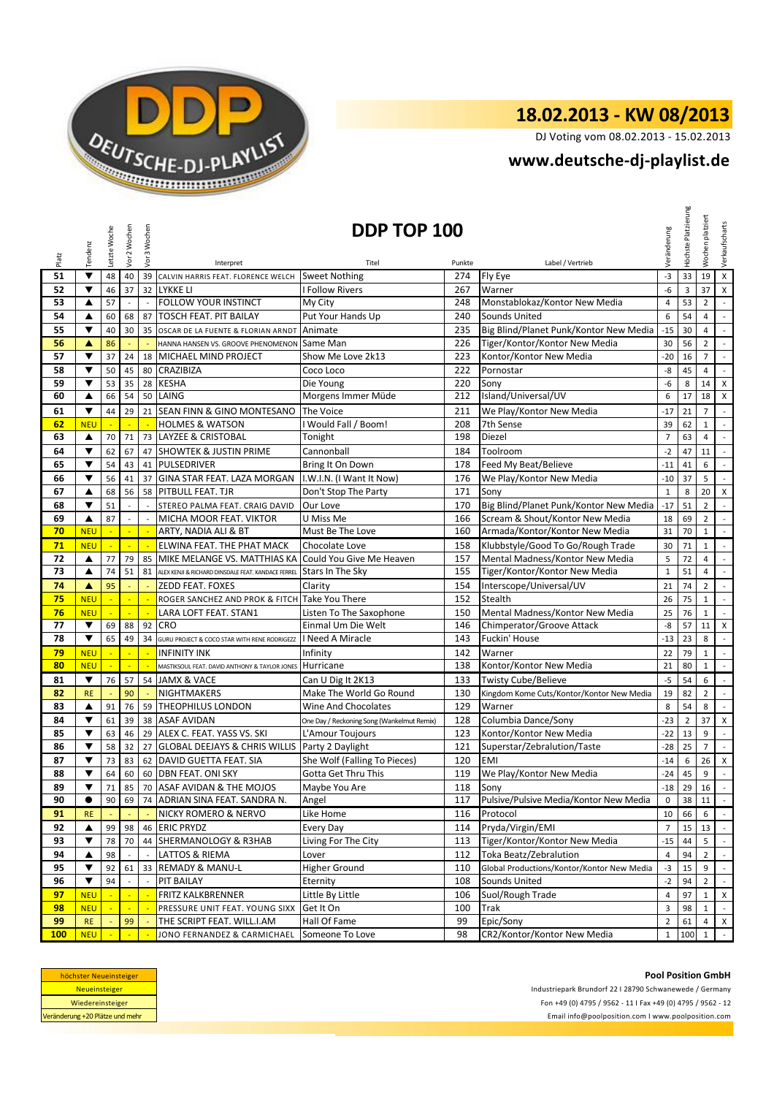

DJ Voting vom 08.02.2013 - 15.02.2013

## **<www.deutsche-dj-playlist.de>**

|            | Tendenz                 | Letzte Woche | Vor 2 Wochen   | Vor 3 Wochen               |                                                            | DDP TOP 100                                      |            |                                                        | Veränderung    | Höchste Platzierung | platziert<br>Wochen | Verkaufscharts              |
|------------|-------------------------|--------------|----------------|----------------------------|------------------------------------------------------------|--------------------------------------------------|------------|--------------------------------------------------------|----------------|---------------------|---------------------|-----------------------------|
| Platz      |                         |              |                |                            | Interpret                                                  | Titel                                            | Punkte     | Label / Vertrieb                                       |                |                     |                     |                             |
| 51         | ▼                       | 48           | 40             |                            | 39 CALVIN HARRIS FEAT. FLORENCE WELCH                      | <b>Sweet Nothing</b>                             | 274        | Fly Eye                                                | $-3$           | 33                  | 19                  | X                           |
| 52         | ▼                       | 46           | 37             |                            | 32 LYKKE LI                                                | <b>I Follow Rivers</b>                           | 267        | Warner                                                 | -6             | 3                   | 37                  | X                           |
| 53         | ▲                       | 57           |                |                            | FOLLOW YOUR INSTINCT                                       | My City                                          | 248        | Monstablokaz/Kontor New Media                          | 4              | 53                  | $\overline{2}$      | $\sim$                      |
| 54         | ▲                       | 60           | 68             | 87                         | <b>TOSCH FEAT. PIT BAILAY</b>                              | Put Your Hands Up                                | 240        | <b>Sounds United</b>                                   | 6              | 54                  | 4                   | $\mathbb{Z}^2$              |
| 55         | ▼                       | 40           | 30             | 35                         | OSCAR DE LA FUENTE & FLORIAN ARNDT                         | Animate                                          | 235        | Big Blind/Planet Punk/Kontor New Media                 | $-15$          | 30                  | $\overline{4}$      | $\mathbb{R}^{\mathbb{Z}}$   |
| 56         | ▲                       | 86           |                |                            | HANNA HANSEN VS. GROOVE PHENOMENON                         | Same Man                                         | 226        | Tiger/Kontor/Kontor New Media                          | 30             | 56                  | $\overline{2}$      | $\mathcal{L}_{\mathcal{A}}$ |
| 57         | ▼                       | 37           | 24             | 18                         | MICHAEL MIND PROJECT                                       | Show Me Love 2k13                                | 223        | Kontor/Kontor New Media                                | $-20$          | 16                  | $\overline{7}$      | $\sim$                      |
| 58         | ▼                       | 50           | 45             |                            | 80 CRAZIBIZA                                               | Coco Loco                                        | 222        | Pornostar                                              | -8             | 45                  | $\overline{4}$      | $\mathbb{Z}^2$              |
| 59         | ▼                       | 53           | 35             | 28                         | <b>KESHA</b>                                               | Die Young                                        | 220        | Sony                                                   | -6             | 8                   | 14                  | X                           |
| 60         | ▲                       | 66           | 54             |                            | 50 LAING                                                   | Morgens Immer Müde                               | 212        | Island/Universal/UV                                    | 6              | 17                  | 18                  | $\boldsymbol{\mathsf{X}}$   |
| 61         | ▼                       | 44           | 29             |                            | 21 SEAN FINN & GINO MONTESANO                              | The Voice                                        | 211        | We Play/Kontor New Media                               | $-17$          | 21                  | $\overline{7}$      | $\sim$                      |
| 62         | <b>NEU</b>              | ÷            | ÷              | ÷                          | <b>HOLMES &amp; WATSON</b>                                 | I Would Fall / Boom!                             | 208        | 7th Sense                                              | 39             | 62                  | $\mathbf{1}$        | $\mathbb{R}^{\mathbb{Z}}$   |
| 63         | ▲                       | 70           | 71             |                            | 73 LAYZEE & CRISTOBAL                                      | Tonight                                          | 198        | Diezel                                                 | $\overline{7}$ | 63                  | 4                   | $\mathbb{Z}^2$              |
| 64         | ▼                       | 62           | 67             | 47                         | <b>SHOWTEK &amp; JUSTIN PRIME</b>                          | Cannonball                                       | 184        | Toolroom                                               | $-2$           | 47                  | 11                  | $\sim$                      |
| 65         | ▼                       | 54           | 43             |                            | 41 PULSEDRIVER                                             | Bring It On Down                                 | 178        | Feed My Beat/Believe                                   | $-11$          | 41                  | 6                   | $\overline{\phantom{a}}$    |
| 66         | ▼                       | 56           | 41             | 37                         | GINA STAR FEAT. LAZA MORGAN                                | I.W.I.N. (I Want It Now)                         | 176        | We Play/Kontor New Media                               | $-10$          | 37                  | 5                   | $\mathbb{Z}^{\mathbb{Z}}$   |
| 67         | ▲                       | 68           | 56             |                            | 58 PITBULL FEAT. TJR                                       | Don't Stop The Party                             | 171        | Sony                                                   | $\mathbf{1}$   | 8                   | 20                  | $\mathsf{x}$                |
| 68         | $\overline{\mathbf{v}}$ | 51           |                |                            | STEREO PALMA FEAT. CRAIG DAVID                             | Our Love                                         | 170        | Big Blind/Planet Punk/Kontor New Media                 | $-17$          | 51                  | $\overline{2}$      | $\mathbb{L}$                |
| 69         | ▲                       | 87           | ÷,             | $\sim$                     | MICHA MOOR FEAT. VIKTOR                                    | U Miss Me                                        | 166        | Scream & Shout/Kontor New Media                        | 18             | 69                  | $\overline{2}$      | $\mathbb{L}^+$              |
| 70         | <b>NEU</b>              | u            | $\mathbb{Z}^2$ | $\mathcal{L}_{\mathbf{r}}$ | ARTY, NADIA ALI & BT                                       | Must Be The Love                                 | 160        | Armada/Kontor/Kontor New Media                         | 31             | 70                  | $\mathbf{1}$        | $\sim$                      |
| 71         | <b>NEU</b>              | ÷            | ÷              |                            | ELWINA FEAT. THE PHAT MACK                                 | Chocolate Love                                   | 158        | Klubbstyle/Good To Go/Rough Trade                      | 30             | 71                  | $\mathbf{1}$        | $\sim$                      |
| 72         | ▲                       | 77           | 79             | 85                         | MIKE MELANGE VS. MATTHIAS KA                               | Could You Give Me Heaven                         | 157        | Mental Madness/Kontor New Media                        | 5              | 72                  | $\overline{4}$      | $\sim$                      |
| 73         | $\blacktriangle$        | 74           | 51             | 81                         | ALEX KENJI & RICHARD DINSDALE FEAT. KANDACE FERREL         | Stars In The Sky                                 | 155        | Tiger/Kontor/Kontor New Media                          | $\mathbf 1$    | 51                  | 4                   | $\sim$                      |
| 74         | ▲                       | 95           |                |                            | <b>ZEDD FEAT. FOXES</b>                                    | Clarity                                          | 154        | Interscope/Universal/UV                                | 21             | 74                  | $\overline{2}$      | $\sim$                      |
| 75         | <b>NEU</b>              |              |                |                            | ROGER SANCHEZ AND PROK & FITCH                             | Take You There                                   | 152        | Stealth                                                | 26             | 75                  | $1\,$               | $\sim$                      |
| 76         | <b>NEU</b>              | ÷,           | ÷,             | $\mathbb{Z}$               | LARA LOFT FEAT. STAN1                                      | Listen To The Saxophone                          | 150        | Mental Madness/Kontor New Media                        | 25             | 76                  | $\mathbf{1}$        | $\sim$                      |
| 77         | ▼                       | 69           | 88             | 92                         | <b>CRO</b>                                                 | Einmal Um Die Welt                               | 146        | Chimperator/Groove Attack                              | -8             | 57                  | 11                  | $\mathsf{X}$                |
| 78         | $\blacktriangledown$    | 65           | 49             | 34                         | GURU PROJECT & COCO STAR WITH RENE RODRIGEZZ               | I Need A Miracle                                 | 143        | Fuckin' House                                          | $-13$          | 23                  | 8                   | $\mathbb{L}$                |
| 79         | <b>NEU</b>              |              |                |                            | <b>INFINITY INK</b>                                        | Infinity                                         | 142        | Warner                                                 | 22             | 79                  | $\mathbf{1}$        | $\mathbb{Z}^2$              |
| 80         | <b>NEU</b>              |              | $\blacksquare$ |                            | MASTIKSOUL FEAT. DAVID ANTHONY & TAYLOR JONES              | Hurricane                                        | 138        | Kontor/Kontor New Media                                | 21             | 80                  | $\mathbf{1}$        | $\mathbb{R}^{\mathbb{Z}}$   |
| 81         | $\blacktriangledown$    | 76           | 57             |                            | 54 JAMX & VACE                                             | Can U Dig It 2K13                                | 133        | <b>Twisty Cube/Believe</b>                             | $-5$           | 54                  | 6                   | $\mathcal{L}_{\mathcal{A}}$ |
| 82         | <b>RE</b>               |              | 90             |                            | <b>NIGHTMAKERS</b>                                         | Make The World Go Round                          | 130        | Kingdom Kome Cuts/Kontor/Kontor New Media              | 19             | 82                  | $\overline{2}$      | $\sim$                      |
| 83         | ▲                       | 91           | 76             |                            | 59 THEOPHILUS LONDON                                       | Wine And Chocolates                              | 129        | Warner                                                 | 8              | 54                  | 8                   | $\mathbb{Z}^+$              |
| 84         | ▼<br>▼                  | 61           | 39             |                            | 38 ASAF AVIDAN                                             | One Day / Reckoning Song (Wankelmut Remix)       | 128        | Columbia Dance/Sony                                    | $-23$          | $\mathbf 2$         | 37                  | $\mathsf X$                 |
| 85         | ▼                       | 63           | 46             |                            | 29 ALEX C. FEAT. YASS VS. SKI                              | L'Amour Toujours                                 | 123        | Kontor/Kontor New Media<br>Superstar/Zebralution/Taste | $-22$          | 13                  | 9<br>$\overline{7}$ | $\sim$                      |
| 86<br>87   | ▼                       | 58<br>73     | 32<br>83       | 62                         | 27 GLOBAL DEEJAYS & CHRIS WILLIS<br>DAVID GUETTA FEAT. SIA | Party 2 Daylight<br>She Wolf (Falling To Pieces) | 121<br>120 | <b>EMI</b>                                             | $-28$<br>$-14$ | 25<br>6             | 26                  | $\sim$<br>$\mathsf{X}$      |
| 88         | $\blacktriangledown$    | 64           | 60             | 60                         | <b>DBN FEAT. ONI SKY</b>                                   | Gotta Get Thru This                              | 119        | We Play/Kontor New Media                               | $-24$          | 45                  | 9                   | $\mathbb{Z}^2$              |
| 89         |                         | 71           |                |                            | 85 70 ASAF AVIDAN & THE MOJOS                              | Maybe You Are                                    | 118        | Sony                                                   | $-18$          |                     | 29 16               |                             |
| 90         | $\bullet$               | 90           | 69             |                            | 74 ADRIAN SINA FEAT. SANDRA N.                             | Angel                                            | 117        | Pulsive/Pulsive Media/Kontor New Media                 | 0              |                     | 38 11               | $\sim$<br>$\mathbb{R}^2$    |
| 91         | <b>RE</b>               |              |                |                            | NICKY ROMERO & NERVO                                       | Like Home                                        | 116        | Protocol                                               | 10             | 66                  | 6                   | $\sim$                      |
| 92         | ▲                       | 99           | 98             |                            | 46 ERIC PRYDZ                                              | Every Day                                        | 114        | Pryda/Virgin/EMI                                       | $\overline{7}$ | 15 <sup>1</sup>     | 13                  | $\sim$                      |
| 93         | ▼                       | 78           | 70             |                            | 44 SHERMANOLOGY & R3HAB                                    | Living For The City                              | 113        | Tiger/Kontor/Kontor New Media                          | $-15$          | 44                  | 5                   |                             |
| 94         | ▲                       | 98           |                |                            | LATTOS & RIEMA                                             | Lover                                            | 112        | Toka Beatz/Zebralution                                 | $\overline{4}$ | 94                  | $\overline{2}$      | $\sim$                      |
| 95         | ▼                       | 92           | 61             | 33                         | <b>REMADY &amp; MANU-L</b>                                 | Higher Ground                                    | 110        | Global Productions/Kontor/Kontor New Media             | $-3$           | 15                  | 9                   | $\sim$                      |
| 96         | ▼                       | 94           |                |                            | PIT BAILAY                                                 | Eternity                                         | 108        | Sounds United                                          | $-2$           | 94                  | $\overline{2}$      | $\sim$                      |
| 97         | <b>NEU</b>              |              |                |                            | <b>FRITZ KALKBRENNER</b>                                   | Little By Little                                 | 106        | Suol/Rough Trade                                       | $\overline{4}$ | 97                  | $\mathbf{1}$        | $\mathsf{X}$                |
| 98         | <b>NEU</b>              |              | $\blacksquare$ |                            | PRESSURE UNIT FEAT. YOUNG SIXX                             | Get It On                                        | 100        | Trak                                                   | 3              | 98                  | $\mathbf{1}$        | $\sim$                      |
| 99         | <b>RE</b>               |              | 99             |                            | THE SCRIPT FEAT. WILL.I.AM                                 | Hall Of Fame                                     | 99         | Epic/Sony                                              | $\overline{2}$ | 61                  | 4                   | $\mathsf{X}$                |
| <b>100</b> | <b>NEU</b>              |              |                |                            | JONO FERNANDEZ & CARMICHAEL                                | Someone To Love                                  | 98         | CR2/Kontor/Kontor New Media                            | $\mathbf{1}$   | 100                 | $\mathbf{1}$        | $\sim$                      |

| höchster Neueinsteiger          |  |  |  |  |  |  |
|---------------------------------|--|--|--|--|--|--|
| <b>Neueinsteiger</b>            |  |  |  |  |  |  |
| Wiedereinsteiger                |  |  |  |  |  |  |
| Veränderung +20 Plätze und mehr |  |  |  |  |  |  |

<Email info@poolposition.com I www.poolposition.com> **Pool Position GmbH** Industriepark Brundorf 22 I 28790 Schwanewede / Germany Fon +49 (0) 4795 / 9562 - 11 I Fax +49 (0) 4795 / 9562 - 12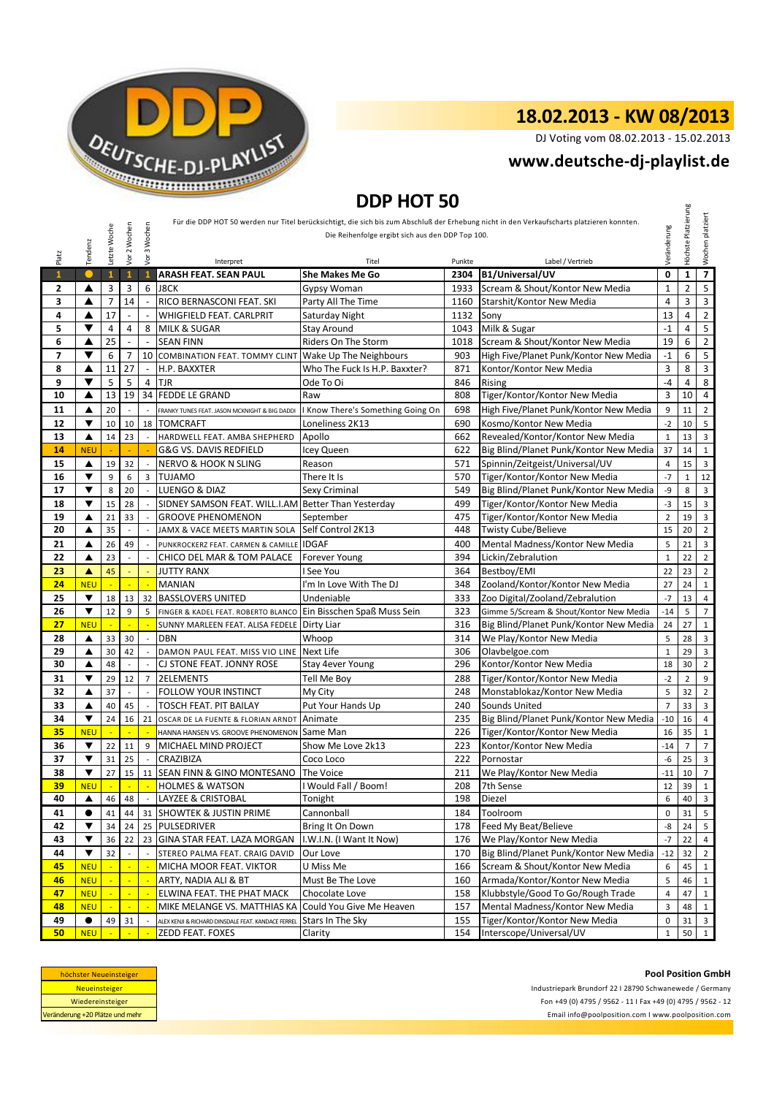

DJ Voting vom 08.02.2013 - 15.02.2013

## **<www.deutsche-dj-playlist.de>**

## **DDP HOT 50**

| DDP HUT 50   |                         |                |                          |                          |                                                     |                                                  |            |                                                                                                                                            |                 |                     |                         |
|--------------|-------------------------|----------------|--------------------------|--------------------------|-----------------------------------------------------|--------------------------------------------------|------------|--------------------------------------------------------------------------------------------------------------------------------------------|-----------------|---------------------|-------------------------|
|              |                         |                |                          |                          |                                                     |                                                  |            | Für die DDP HOT 50 werden nur Titel berücksichtigt, die sich bis zum Abschluß der Erhebung nicht in den Verkaufscharts platzieren konnten. |                 | Höchste Platzierung | Wochen platziert        |
|              |                         | Letzte Woche   | Vor 2 Wochen             | 3 Wochen                 |                                                     | Die Reihenfolge ergibt sich aus den DDP Top 100. |            |                                                                                                                                            | Veränderung     |                     |                         |
|              | Tendenz                 |                |                          |                          |                                                     |                                                  |            |                                                                                                                                            |                 |                     |                         |
| Platz        |                         |                |                          | yor                      | Interpret                                           | Titel                                            | Punkte     | Label / Vertrieb                                                                                                                           |                 |                     |                         |
| $\mathbf{1}$ |                         | $\mathbf{1}$   | $\mathbf{1}$             | $\mathbf{1}$             | <b>ARASH FEAT, SEAN PAUL</b>                        | <b>She Makes Me Go</b>                           | 2304       | B1/Universal/UV                                                                                                                            | 0               | $\mathbf{1}$        |                         |
| $\mathbf{2}$ | ▲                       | 3              | 3                        | 6                        | <b>J8CK</b>                                         | <b>Gypsy Woman</b>                               | 1933       | Scream & Shout/Kontor New Media                                                                                                            | $\mathbf{1}$    | $\overline{2}$      | 5                       |
| 3            | ▲                       | $\overline{7}$ | 14                       |                          | RICO BERNASCONI FEAT. SKI                           | Party All The Time                               | 1160       | Starshit/Kontor New Media                                                                                                                  | $\overline{4}$  | 3                   | $\overline{\mathbf{3}}$ |
| 4            | ▲                       | 17             |                          |                          | <b>WHIGFIELD FEAT. CARLPRIT</b>                     | 1132<br>Saturday Night                           |            | Sony                                                                                                                                       | 13              | 4                   | $\overline{2}$          |
| 5            | ▼                       | $\overline{4}$ | 4                        | 8                        | <b>MILK &amp; SUGAR</b>                             | <b>Stay Around</b>                               | 1043       | Milk & Sugar                                                                                                                               | $-1$            | 4                   | $\mathsf S$             |
| 6            | ▲                       | 25             | $\overline{\phantom{a}}$ |                          | <b>SEAN FINN</b>                                    | <b>Riders On The Storm</b>                       | 1018       | Scream & Shout/Kontor New Media                                                                                                            | 19              | 6                   | $\overline{2}$          |
| 7            | ▼                       | 6              | 7                        |                          | 10 COMBINATION FEAT. TOMMY CLINT                    | Wake Up The Neighbours                           | 903        | High Five/Planet Punk/Kontor New Media                                                                                                     | $-1$            | 6                   | $\sqrt{5}$              |
| 8            | ▲                       | 11             | 27                       | $\omega$                 | H.P. BAXXTER                                        | Who The Fuck Is H.P. Baxxter?                    | 871        | Kontor/Kontor New Media                                                                                                                    | 3               | 8                   | $\mathbf{3}$            |
| 9            | ▼                       | 5              | 5                        | 4                        | <b>TJR</b>                                          | Ode To Oi                                        | 846        | Rising                                                                                                                                     | -4              | 4                   | 8                       |
| 10           | ▲                       | 13             | 19                       |                          | 34 FEDDE LE GRAND                                   | Raw                                              | 808        | Tiger/Kontor/Kontor New Media                                                                                                              | 3               | 10                  | $\overline{4}$          |
| 11           | ▲                       | 20             |                          |                          | FRANKY TUNES FEAT. JASON MCKNIGHT & BIG DADDI       | I Know There's Something Going On                | 698        | High Five/Planet Punk/Kontor New Media                                                                                                     | 9               | 11                  | $\overline{2}$          |
| 12           | ▼                       | 10             | 10                       | 18                       | <b>TOMCRAFT</b>                                     | Loneliness 2K13                                  | 690        | Kosmo/Kontor New Media                                                                                                                     | $-2$            | 10                  | 5                       |
| 13           | ▲                       | 14             | 23                       |                          | HARDWELL FEAT. AMBA SHEPHERD                        | Apollo                                           | 662        | Revealed/Kontor/Kontor New Media                                                                                                           | $\mathbf 1$     | 13                  | $\overline{\mathbf{3}}$ |
| 14           | <b>NEU</b>              |                |                          |                          | G&G VS. DAVIS REDFIELD                              | Icey Queen                                       | 622        | Big Blind/Planet Punk/Kontor New Media                                                                                                     | 37              | 14                  | $\mathbf{1}$            |
| 15           | ▲                       | 19             | 32                       |                          | <b>NERVO &amp; HOOK N SLING</b>                     | Reason                                           | 571        | Spinnin/Zeitgeist/Universal/UV                                                                                                             | $\overline{4}$  | 15                  | $\overline{\mathbf{3}}$ |
| 16           | ▼                       | 9              | 6                        | 3                        | <b>TUJAMO</b>                                       | There It Is                                      | 570        | Tiger/Kontor/Kontor New Media                                                                                                              | $-7$            | $\mathbf{1}$        | 12                      |
| 17           | $\blacktriangledown$    | 8              | 20                       |                          | LUENGO & DIAZ                                       | Sexy Criminal                                    | 549        | Big Blind/Planet Punk/Kontor New Media                                                                                                     | -9              | 8                   | $\overline{\mathbf{3}}$ |
| 18           | ▼                       | 15             | 28                       |                          | SIDNEY SAMSON FEAT. WILL.I.AM Better Than Yesterday |                                                  | 499        | Tiger/Kontor/Kontor New Media                                                                                                              | -3              | 15                  | $\overline{\mathbf{3}}$ |
| 19           | ▲                       | 21             | 33                       |                          | <b>GROOVE PHENOMENON</b>                            | September                                        | 475        | Tiger/Kontor/Kontor New Media                                                                                                              | $\overline{2}$  | 19                  | 3                       |
| 20           | ▲                       | 35             | $\overline{\phantom{a}}$ |                          | JAMX & VACE MEETS MARTIN SOLA                       | Self Control 2K13                                | 448        | <b>Twisty Cube/Believe</b>                                                                                                                 | 15              | 20                  | $\overline{2}$          |
| 21           | ▲                       | 26             | 49                       |                          | PUNKROCKERZ FEAT. CARMEN & CAMILLE                  | <b>IDGAF</b>                                     | 400        | Mental Madness/Kontor New Media                                                                                                            | 5               | 21                  | $\overline{\mathbf{3}}$ |
| 22           | ▲                       | 23             |                          |                          | CHICO DEL MAR & TOM PALACE                          | <b>Forever Young</b>                             | 394        | Lickin/Zebralution                                                                                                                         | $\mathbf{1}$    | 22                  | $\overline{2}$          |
| 23<br>24     | A                       | 45<br>÷.       | ä,                       |                          | <b>JUTTY RANX</b>                                   | I See You<br>I'm In Love With The DJ             | 364<br>348 | Bestboy/EMI<br>Zooland/Kontor/Kontor New Media                                                                                             | 22<br>27        | 23                  | $\overline{2}$          |
| 25           | <b>NEU</b><br>▼         | 18             | 13                       | 32                       | <b>MANIAN</b><br><b>BASSLOVERS UNITED</b>           | Undeniable                                       | 333        | Zoo Digital/Zooland/Zebralution                                                                                                            | $-7$            | 24<br>13            | 1<br>$\overline{4}$     |
| 26           | ▼                       | 12             | 9                        | 5                        | FINGER & KADEL FEAT. ROBERTO BLANCO                 | Ein Bisschen Spaß Muss Sein                      | 323        | Gimme 5/Scream & Shout/Kontor New Media                                                                                                    | $-14$           | 5                   | $\overline{7}$          |
| 27           | <b>NEU</b>              | ÷,             |                          |                          | SUNNY MARLEEN FEAT. ALISA FEDELE                    | Dirty Liar                                       | 316        | Big Blind/Planet Punk/Kontor New Media                                                                                                     | 24              | 27                  | $\mathbf 1$             |
| 28           | ▲                       | 33             | 30                       |                          | <b>DBN</b>                                          | Whoop                                            | 314        | We Play/Kontor New Media                                                                                                                   | 5               | 28                  | $\overline{\mathbf{3}}$ |
| 29           | ▲                       | 30             | 42                       |                          | DAMON PAUL FEAT. MISS VIO LINE Next Life            |                                                  | 306        | Olavbelgoe.com                                                                                                                             | $\mathbf 1$     | 29                  | $\overline{\mathbf{3}}$ |
| 30           | ▲                       | 48             | $\mathcal{L}$            | $\overline{a}$           | CJ STONE FEAT. JONNY ROSE                           | Stay 4ever Young                                 | 296        | Kontor/Kontor New Media                                                                                                                    | 18              | 30                  | $\overline{2}$          |
| 31           | ▼                       | 29             | 12                       | $\overline{7}$           | <b>2ELEMENTS</b>                                    | Tell Me Boy                                      | 288        | Tiger/Kontor/Kontor New Media                                                                                                              | $-2$            | $\overline{2}$      | 9                       |
| 32           | ▲                       | 37             | $\mathcal{L}$            |                          | FOLLOW YOUR INSTINCT                                | My City                                          | 248        | Monstablokaz/Kontor New Media                                                                                                              | 5               | 32                  | $\overline{2}$          |
| 33           | ▲                       | 40             | 45                       |                          | <b>TOSCH FEAT. PIT BAILAY</b>                       | Put Your Hands Up                                | 240        | Sounds United                                                                                                                              | $\overline{7}$  | 33                  | 3                       |
| 34           | ▼                       | 24             | 16                       | 21                       | OSCAR DE LA FUENTE & FLORIAN ARNDT                  | Animate                                          | 235        | Big Blind/Planet Punk/Kontor New Media                                                                                                     | $-10$           | 16                  | $\overline{4}$          |
| 35           | <b>NEU</b>              |                |                          |                          | HANNA HANSEN VS. GROOVE PHENOMENON                  | Same Man                                         | 226        | Tiger/Kontor/Kontor New Media                                                                                                              | 16              | 35                  | $\mathbf{1}$            |
| 36           | ▼                       | 22             | 11                       | 9                        | MICHAEL MIND PROJECT                                | Show Me Love 2k13                                | 223        | Kontor/Kontor New Media                                                                                                                    | $-14$           | $\overline{7}$      | $\overline{7}$          |
| 37           | ▼                       | 31             | 25                       |                          | <b>CRAZIBIZA</b>                                    | Coco Loco                                        | 222        | Pornostar                                                                                                                                  | -6              | 25                  | 3                       |
| 38           | $\overline{\mathbf{v}}$ | 27             | 15                       | 11                       | SEAN FINN & GINO MONTESANO                          | The Voice                                        | 211        | We Play/Kontor New Media                                                                                                                   | $-11$           | 10                  | $\overline{7}$          |
| <u>39</u>    | <b>NEU</b>              | $\sim$         | $\sim$                   | $\overline{\phantom{a}}$ | <b>HOLMES &amp; WATSON</b>                          | I Would Fall / Boom!                             | 208        | 7th Sense                                                                                                                                  | 12 <sub>1</sub> | 39 1                |                         |
| 40           | ▲                       | 46             | 48                       |                          | LAYZEE & CRISTOBAL                                  | Tonight                                          | 198        | Diezel                                                                                                                                     | 6               | 40                  | $\overline{\mathbf{3}}$ |
| 41           | $\bullet$               | 41             | 44                       | 31                       | <b>SHOWTEK &amp; JUSTIN PRIME</b>                   | Cannonball                                       | 184        | Toolroom                                                                                                                                   | $\pmb{0}$       | 31                  | 5                       |
| 42           | ▼                       | 34             | 24                       |                          | 25 PULSEDRIVER                                      | Bring It On Down                                 | 178        | Feed My Beat/Believe                                                                                                                       | -8              | 24                  | 5                       |
| 43           | ▼                       | 36             | 22                       |                          | 23 GINA STAR FEAT. LAZA MORGAN                      | I.W.I.N. (I Want It Now)                         | 176        | We Play/Kontor New Media                                                                                                                   | $-7$            | 22                  |                         |
| 44           | ▼                       | 32             |                          |                          | STEREO PALMA FEAT. CRAIG DAVID                      | Our Love                                         | 170        | Big Blind/Planet Punk/Kontor New Media                                                                                                     | $-12$           | 32                  | $\overline{2}$          |
| 45           | <b>NEU</b>              |                |                          |                          | MICHA MOOR FEAT. VIKTOR                             | U Miss Me                                        | 166        | Scream & Shout/Kontor New Media                                                                                                            | 6               | 45                  | 1                       |
| 46           | <b>NEU</b>              |                |                          |                          | ARTY, NADIA ALI & BT                                | Must Be The Love                                 | 160        | Armada/Kontor/Kontor New Media                                                                                                             | 5               | 46                  | $\mathbf{1}$            |
| 47           | <b>NEU</b>              |                |                          |                          | ELWINA FEAT. THE PHAT MACK                          | Chocolate Love                                   | 158        | Klubbstyle/Good To Go/Rough Trade                                                                                                          | 4               | 47                  |                         |
| 48           | <b>NEU</b>              |                | ÷                        |                          | MIKE MELANGE VS. MATTHIAS KA                        | Could You Give Me Heaven                         | 157        | Mental Madness/Kontor New Media                                                                                                            | 3               | 48                  | $\mathbf{1}$            |
| 49           | $\bullet$               | 49             | 31                       |                          | ALEX KENJI & RICHARD DINSDALE FEAT. KANDACE FERREL  | Stars In The Sky                                 | 155        | Tiger/Kontor/Kontor New Media                                                                                                              | 0               | 31                  | $\overline{\mathbf{3}}$ |
| 50           | <b>NEU</b>              |                |                          |                          | ZEDD FEAT. FOXES                                    | Clarity                                          | 154        | Interscope/Universal/UV                                                                                                                    | $\mathbf{1}$    | $50 \quad 1$        |                         |

| höchster Neueinsteiger          |  |  |  |  |  |
|---------------------------------|--|--|--|--|--|
| <b>Neueinsteiger</b>            |  |  |  |  |  |
| Wiedereinsteiger                |  |  |  |  |  |
| Veränderung +20 Plätze und mehr |  |  |  |  |  |

<Email info@poolposition.com I www.poolposition.com> Industriepark Brundorf 22 I 28790 Schwanewede / Germany Fon +49 (0) 4795 / 9562 - 11 I Fax +49 (0) 4795 / 9562 - 12

#### **Pool Position GmbH**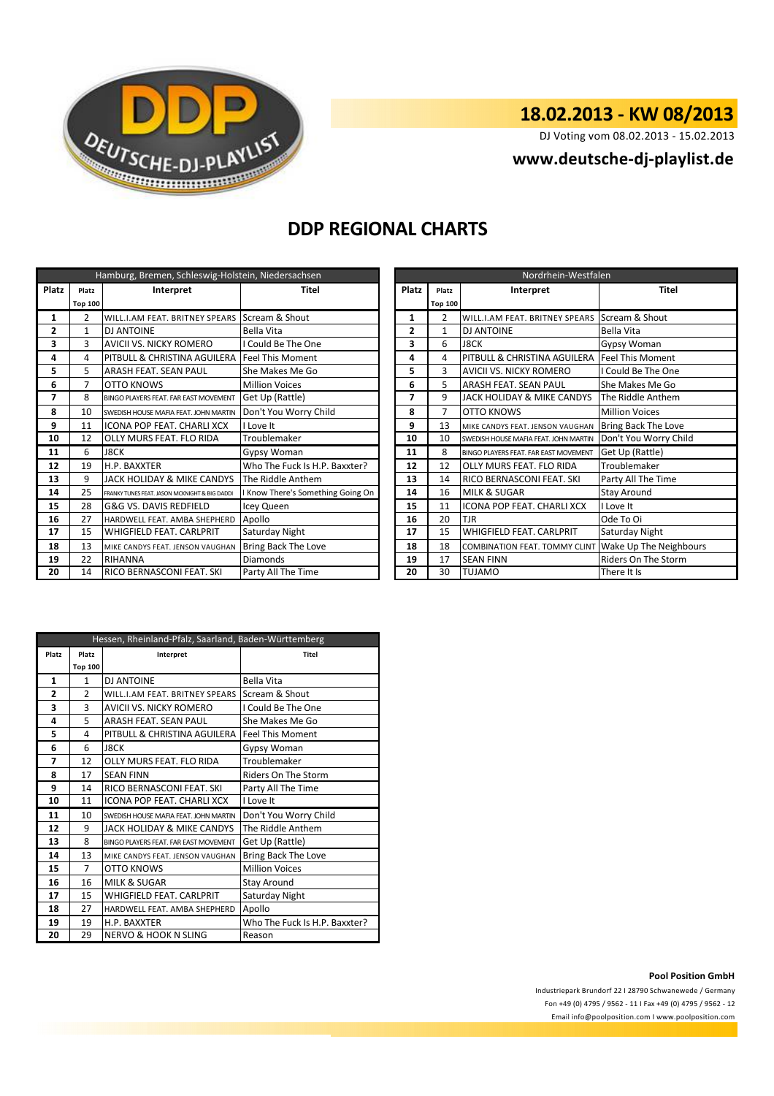

DJ Voting vom 08.02.2013 - 15.02.2013

# **<www.deutsche-dj-playlist.de>**

## **DDP REGIONAL CHARTS**

| Hamburg, Bremen, Schleswig-Holstein, Niedersachsen |                |                                               |                                   |  | Nordrhein-Westfalen |                |                                       |                               |  |  |
|----------------------------------------------------|----------------|-----------------------------------------------|-----------------------------------|--|---------------------|----------------|---------------------------------------|-------------------------------|--|--|
| Platz                                              | Platz          | Interpret                                     | <b>Titel</b>                      |  | <b>Platz</b>        | Platz          | Interpret                             | <b>Titel</b>                  |  |  |
|                                                    | <b>Top 100</b> |                                               |                                   |  |                     | <b>Top 100</b> |                                       |                               |  |  |
| 1                                                  | 2              | WILL.I.AM FEAT. BRITNEY SPEARS                | Scream & Shout                    |  | 1                   | 2              | WILL.I.AM FEAT. BRITNEY SPEARS        | Scream & Shout                |  |  |
| $\mathbf{2}$                                       | 1              | <b>DJ ANTOINE</b>                             | Bella Vita                        |  | $\mathbf{2}$        | 1              | <b>DJ ANTOINE</b>                     | Bella Vita                    |  |  |
| 3                                                  | 3              | AVICII VS. NICKY ROMERO                       | I Could Be The One                |  | 3                   | 6              | <b>J8CK</b>                           | Gypsy Woman                   |  |  |
| 4                                                  | 4              | PITBULL & CHRISTINA AGUILERA                  | <b>Feel This Moment</b>           |  | 4                   | 4              | PITBULL & CHRISTINA AGUILERA          | <b>Feel This Moment</b>       |  |  |
| 5                                                  | 5              | ARASH FEAT. SEAN PAUL                         | She Makes Me Go                   |  | 5                   | 3              | AVICII VS. NICKY ROMERO               | I Could Be The One            |  |  |
| 6                                                  | 7              | OTTO KNOWS                                    | <b>Million Voices</b>             |  | 6                   | 5              | ARASH FEAT. SEAN PAUL                 | She Makes Me Go               |  |  |
| 7                                                  | 8              | BINGO PLAYERS FEAT. FAR EAST MOVEMENT         | Get Up (Rattle)                   |  |                     | 9              | JACK HOLIDAY & MIKE CANDYS            | The Riddle Anthem             |  |  |
| 8                                                  | 10             | SWEDISH HOUSE MAFIA FEAT. JOHN MARTIN         | Don't You Worry Child             |  | 8                   | 7              | OTTO KNOWS                            | <b>Million Voices</b>         |  |  |
| 9                                                  | 11             | ICONA POP FEAT. CHARLI XCX                    | I Love It                         |  | 9                   | 13             | MIKE CANDYS FEAT. JENSON VAUGHAN      | <b>Bring Back The Love</b>    |  |  |
| 10                                                 | 12             | OLLY MURS FEAT. FLO RIDA                      | Troublemaker                      |  | 10                  | 10             | SWEDISH HOUSE MAFIA FEAT. JOHN MARTIN | Don't You Worry Child         |  |  |
| 11                                                 | 6              | <b>J8CK</b>                                   | Gypsy Woman                       |  | 11                  | 8              | BINGO PLAYERS FEAT. FAR EAST MOVEMENT | Get Up (Rattle)               |  |  |
| 12                                                 | 19             | <b>H.P. BAXXTER</b>                           | Who The Fuck Is H.P. Baxxter?     |  | 12                  | 12             | <b>OLLY MURS FEAT. FLO RIDA</b>       | Troublemaker                  |  |  |
| 13                                                 | 9              | JACK HOLIDAY & MIKE CANDYS                    | The Riddle Anthem                 |  | 13                  | 14             | RICO BERNASCONI FEAT. SKI             | Party All The Time            |  |  |
| 14                                                 | 25             | FRANKY TUNES FEAT. JASON MCKNIGHT & BIG DADDI | I Know There's Something Going On |  | 14                  | 16             | <b>MILK &amp; SUGAR</b>               | <b>Stay Around</b>            |  |  |
| 15                                                 | 28             | G&G VS. DAVIS REDFIELD                        | Icey Queen                        |  | 15                  | 11             | ICONA POP FEAT. CHARLI XCX            | I Love It                     |  |  |
| 16                                                 | 27             | HARDWELL FEAT. AMBA SHEPHERD                  | Apollo                            |  | 16                  | 20             | <b>TJR</b>                            | Ode To Oi                     |  |  |
| 17                                                 | 15             | <b>WHIGFIELD FEAT, CARLPRIT</b>               | Saturday Night                    |  | 17                  | 15             | WHIGFIELD FEAT. CARLPRIT              | Saturday Night                |  |  |
| 18                                                 | 13             | MIKE CANDYS FEAT. JENSON VAUGHAN              | <b>Bring Back The Love</b>        |  | 18                  | 18             | <b>COMBINATION FEAT. TOMMY CLINT</b>  | <b>Wake Up The Neighbours</b> |  |  |
| 19                                                 | 22             | <b>RIHANNA</b>                                | <b>Diamonds</b>                   |  | 19                  | 17             | <b>SEAN FINN</b>                      | Riders On The Storm           |  |  |
| 20                                                 | 14             | <b>RICO BERNASCONI FEAT. SKI</b>              | Party All The Time                |  | 20                  | 30             | <b>TUJAMO</b>                         | There It Is                   |  |  |

|                | Nordrhein-Westfalen |                                       |                            |  |  |  |  |  |
|----------------|---------------------|---------------------------------------|----------------------------|--|--|--|--|--|
| <b>Platz</b>   | Platz               | Interpret                             | <b>Titel</b>               |  |  |  |  |  |
|                | <b>Top 100</b>      |                                       |                            |  |  |  |  |  |
| $\mathbf{1}$   | $\overline{2}$      | WILL.I.AM FEAT. BRITNEY SPEARS        | Scream & Shout             |  |  |  |  |  |
| $\overline{2}$ | $\mathbf{1}$        | DJ ANTOINE                            | Bella Vita                 |  |  |  |  |  |
| 3              | 6                   | <b>J8CK</b>                           | Gypsy Woman                |  |  |  |  |  |
| 4              | 4                   | PITBULL & CHRISTINA AGUILERA          | <b>Feel This Moment</b>    |  |  |  |  |  |
| 5              | 3                   | <b>AVICII VS. NICKY ROMERO</b>        | I Could Be The One         |  |  |  |  |  |
| 6              | 5                   | <b>ARASH FEAT, SEAN PAUL</b>          | She Makes Me Go            |  |  |  |  |  |
| 7              | 9                   | JACK HOLIDAY & MIKE CANDYS            | The Riddle Anthem          |  |  |  |  |  |
| 8              | 7                   | OTTO KNOWS                            | <b>Million Voices</b>      |  |  |  |  |  |
| 9              | 13                  | MIKE CANDYS FEAT. JENSON VAUGHAN      | Bring Back The Love        |  |  |  |  |  |
| 10             | 10                  | SWEDISH HOUSE MAFIA FEAT. JOHN MARTIN | Don't You Worry Child      |  |  |  |  |  |
| 11             | 8                   | BINGO PLAYERS FEAT. FAR EAST MOVEMENT | Get Up (Rattle)            |  |  |  |  |  |
| 12             | 12                  | OLLY MURS FEAT. FLO RIDA              | Troublemaker               |  |  |  |  |  |
| 13             | 14                  | RICO BERNASCONI FEAT. SKI             | Party All The Time         |  |  |  |  |  |
| 14             | 16                  | <b>MILK &amp; SUGAR</b>               | <b>Stay Around</b>         |  |  |  |  |  |
| 15             | 11                  | <b>ICONA POP FEAT. CHARLI XCX</b>     | I Love It                  |  |  |  |  |  |
| 16             | 20                  | <b>TJR</b>                            | Ode To Oi                  |  |  |  |  |  |
| 17             | 15                  | <b>WHIGFIELD FEAT, CARLPRIT</b>       | Saturday Night             |  |  |  |  |  |
| 18             | 18                  | COMBINATION FEAT. TOMMY CLINT         | Wake Up The Neighbours     |  |  |  |  |  |
| 19             | 17                  | <b>SEAN FINN</b>                      | <b>Riders On The Storm</b> |  |  |  |  |  |
| 20             | 30                  | TUJAMO                                | There It Is                |  |  |  |  |  |

|       | Hessen, Rheinland-Pfalz, Saarland, Baden-Württemberg |                                       |                               |  |  |  |  |
|-------|------------------------------------------------------|---------------------------------------|-------------------------------|--|--|--|--|
| Platz | Platz                                                | Interpret                             | Titel                         |  |  |  |  |
|       | <b>Top 100</b>                                       |                                       |                               |  |  |  |  |
| 1     | 1                                                    | DJ ANTOINE                            | Bella Vita                    |  |  |  |  |
| 2     | $\mathfrak{p}$                                       | WILL.I.AM FEAT. BRITNEY SPEARS        | Scream & Shout                |  |  |  |  |
| 3     | 3                                                    | <b>AVICII VS. NICKY ROMERO</b>        | I Could Be The One            |  |  |  |  |
| 4     | 5                                                    | ARASH FEAT. SEAN PAUL                 | She Makes Me Go               |  |  |  |  |
| 5     | 4                                                    | PITBULL & CHRISTINA AGUILERA          | <b>Feel This Moment</b>       |  |  |  |  |
| 6     | 6                                                    | <b>J8CK</b>                           | Gypsy Woman                   |  |  |  |  |
| 7     | 12                                                   | OLLY MURS FEAT. FLO RIDA              | Troublemaker                  |  |  |  |  |
| 8     | 17                                                   | <b>SEAN FINN</b>                      | <b>Riders On The Storm</b>    |  |  |  |  |
| 9     | 14                                                   | RICO BERNASCONI FEAT. SKI             | Party All The Time            |  |  |  |  |
| 10    | 11                                                   | <b>ICONA POP FEAT. CHARLI XCX</b>     | I Love It                     |  |  |  |  |
| 11    | 10                                                   | SWEDISH HOUSE MAFIA FEAT. JOHN MARTIN | Don't You Worry Child         |  |  |  |  |
| 12    | 9                                                    | JACK HOLIDAY & MIKE CANDYS            | The Riddle Anthem             |  |  |  |  |
| 13    | 8                                                    | BINGO PLAYERS FEAT. FAR EAST MOVEMENT | Get Up (Rattle)               |  |  |  |  |
| 14    | 13                                                   | MIKE CANDYS FEAT. JENSON VAUGHAN      | Bring Back The Love           |  |  |  |  |
| 15    | $\overline{7}$                                       | <b>OTTO KNOWS</b>                     | <b>Million Voices</b>         |  |  |  |  |
| 16    | 16                                                   | <b>MILK &amp; SUGAR</b>               | Stay Around                   |  |  |  |  |
| 17    | 15                                                   | <b>WHIGFIELD FEAT, CARLPRIT</b>       | Saturday Night                |  |  |  |  |
| 18    | 27                                                   | HARDWELL FEAT. AMBA SHEPHERD          | Apollo                        |  |  |  |  |
| 19    | 19                                                   | H.P. BAXXTER                          | Who The Fuck Is H.P. Baxxter? |  |  |  |  |
| 20    | 29                                                   | <b>NERVO &amp; HOOK N SLING</b>       | Reason                        |  |  |  |  |

### **Pool Position GmbH**

Industriepark Brundorf 22 I 28790 Schwanewede / Germany Fon +49 (0) 4795 / 9562 - 11 I Fax +49 (0) 4795 / 9562 - 12 <Email info@poolposition.com I www.poolposition.com>